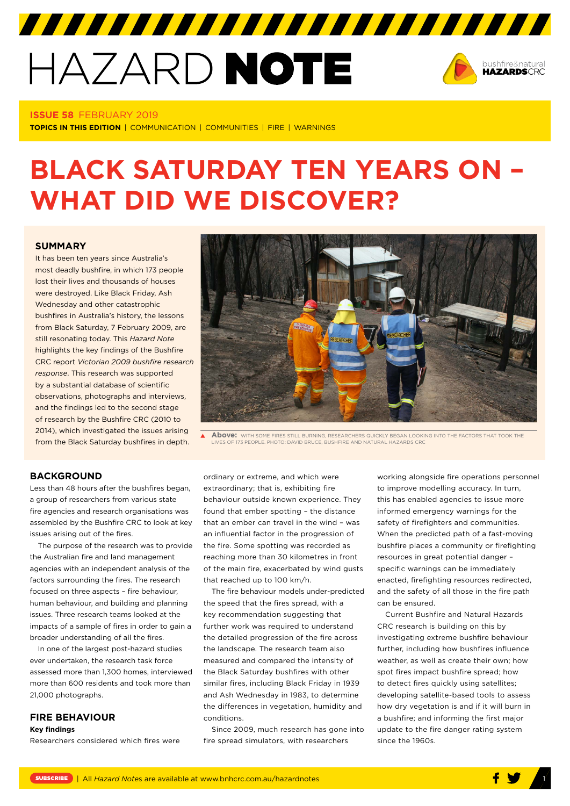# HAZARD NOTE



#### **ISSUE 58** FEBRUARY 2019

**TOPICS IN THIS EDITION** | COMMUNICATION | COMMUNITIES | FIRE | WARNINGS

# **BLACK SATURDAY TEN YEARS ON – WHAT DID WE DISCOVER?**

#### **[SUMMARY](http://www.bnhcrc.com.au/hazardnotes/58)**

It has been ten years since Australia's most deadly bushfire, in which 173 people lost their lives and thousands of houses were destroyed. Like Black Friday, Ash Wednesday and other catastrophic bushfires in Australia's history, the lessons from Black Saturday, 7 February 2009, are still resonating today. This *Hazard Note* highlights the key findings of the Bushfire CRC report *Victorian 2009 bushfire research response*. This research was supported by a substantial database of scientific observations, photographs and interviews, and the findings led to the second stage of research by the Bushfire CRC (2010 to 2014), which investigated the issues arising from the Black Saturday bushfires in depth.



**Above:** WITH SOME FIRES STILL BURNING, RESEARCHERS QUICKLY BEGAN LOOKING INTO THE FACTORS THAT TOOK THE LIVES OF 173 PEOPLE. PHOTO: DAVID BRUCE, BUSHFIRE AND NATURAL HAZARDS CRC

# **BACKGROUND**

Less than 48 hours after the bushfires began, a group of researchers from various state fire agencies and research organisations was assembled by the Bushfire CRC to look at key issues arising out of the fires.

The purpose of the research was to provide the Australian fire and land management agencies with an independent analysis of the factors surrounding the fires. The research focused on three aspects – fire behaviour, human behaviour, and building and planning issues. Three research teams looked at the impacts of a sample of fires in order to gain a broader understanding of all the fires.

In one of the largest post-hazard studies ever undertaken, the research task force assessed more than 1,300 homes, interviewed more than 600 residents and took more than 21,000 photographs.

## **FIRE BEHAVIOUR**

**Key findings**

Researchers considered which fires were

ordinary or extreme, and which were extraordinary; that is, exhibiting fire behaviour outside known experience. They found that ember spotting – the distance that an ember can travel in the wind – was an influential factor in the progression of the fire. Some spotting was recorded as reaching more than 30 kilometres in front of the main fire, exacerbated by wind gusts that reached up to 100 km/h.

The fire behaviour models under-predicted the speed that the fires spread, with a key recommendation suggesting that further work was required to understand the detailed progression of the fire across the landscape. The research team also measured and compared the intensity of the Black Saturday bushfires with other similar fires, including Black Friday in 1939 and Ash Wednesday in 1983, to determine the differences in vegetation, humidity and conditions.

Since 2009, much research has gone into fire spread simulators, with researchers

working alongside fire operations personnel to improve modelling accuracy. In turn, this has enabled agencies to issue more informed emergency warnings for the safety of firefighters and communities. When the predicted path of a fast-moving bushfire places a community or firefighting resources in great potential danger – specific warnings can be immediately enacted, firefighting resources redirected, and the safety of all those in the fire path can be ensured.

Current Bushfire and Natural Hazards CRC research is building on this by investigating extreme bushfire behaviour further, including how bushfires influence weather, as well as create their own; how spot fires impact bushfire spread; how to detect fires quickly using satellites; developing satellite-based tools to assess how dry vegetation is and if it will burn in a bushfire; and informing the first major update to the fire danger rating system since the 1960s.